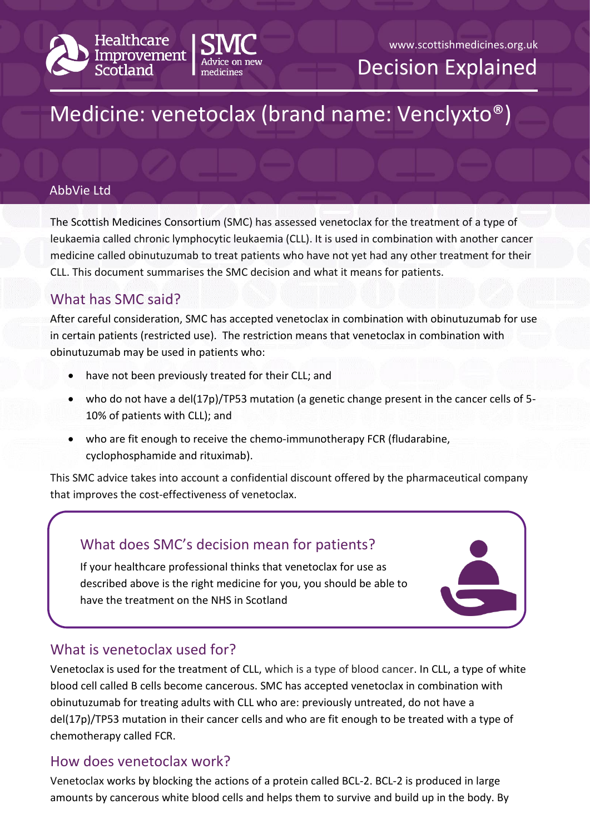



Decision Explained

# Medicine: venetoclax (brand name: Venclyxto®)

#### AbbVie Ltd

The Scottish Medicines Consortium (SMC) has assessed venetoclax for the treatment of a type of leukaemia called chronic lymphocytic leukaemia (CLL). It is used in combination with another cancer medicine called obinutuzumab to treat patients who have not yet had any other treatment for their CLL. This document summarises the SMC decision and what it means for patients.

# What has SMC said?

After careful consideration, SMC has accepted venetoclax in combination with obinutuzumab for use in certain patients (restricted use). The restriction means that venetoclax in combination with obinutuzumab may be used in patients who:

- have not been previously treated for their CLL; and
- who do not have a del(17p)/TP53 mutation (a genetic change present in the cancer cells of 5- 10% of patients with CLL); and
- who are fit enough to receive the chemo-immunotherapy FCR (fludarabine, cyclophosphamide and rituximab).

This SMC advice takes into account a confidential discount offered by the pharmaceutical company that improves the cost-effectiveness of venetoclax.

# What does SMC's decision mean for patients? If your healthcare professional thinks that venetoclax for use as described above is the right medicine for you, you should be able to have the treatment on the NHS in Scotland

# What is venetoclax used for?

Venetoclax is used for the treatment of CLL, which is a type of blood cancer. In CLL, a type of white blood cell called B cells become cancerous. SMC has accepted venetoclax in combination with obinutuzumab for treating adults with CLL who are: previously untreated, do not have a del(17p)/TP53 mutation in their cancer cells and who are fit enough to be treated with a type of chemotherapy called FCR.

# How does venetoclax work?

Venetoclax works by blocking the actions of a protein called BCL-2. BCL-2 is produced in large amounts by cancerous white blood cells and helps them to survive and build up in the body. By